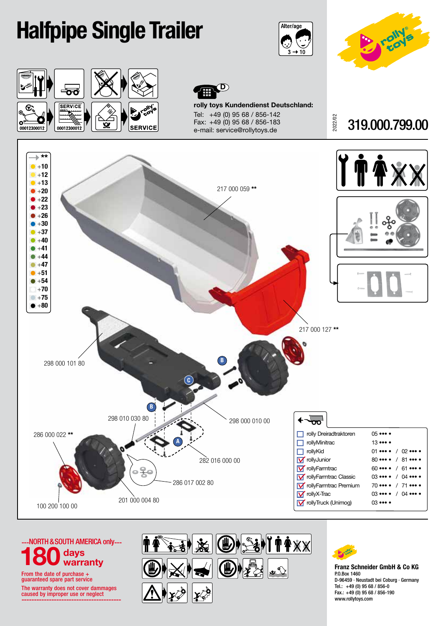## Halfpipe Single Trailer









rolly toys Kundendienst Deutschland: Tel: +49 (0) 95 68 / 856-142 Fax: +49 (0) 95 68 / 856-183 e-mail: service@rollytoys.de

2022/02 319.000.799.00









Franz Schneider GmbH & Co KG P.O.Box 1460 D-96459 · Neustadt bei Coburg · Germany Tel.: +49 (0) 95 68 / 856-0 Fax.: +49 (0) 95 68 / 856-190 www.rollytoys.com